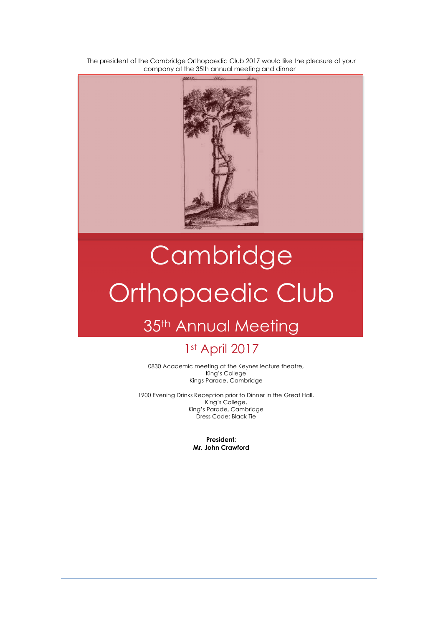The president of the Cambridge Orthopaedic Club 2017 would like the pleasure of your company at the 35th annual meeting and dinner



# **Cambridge** Orthopaedic Club

## 35<sup>th</sup> Annual Meeting

## 1st April 2017

0830 Academic meeting at the Keynes lecture theatre, King's College Kings Parade, Cambridge

1900 Evening Drinks Reception prior to Dinner in the Great Hall, King's College, King's Parade, Cambridge Dress Code: Black Tie

> **President: Mr. John Crawford**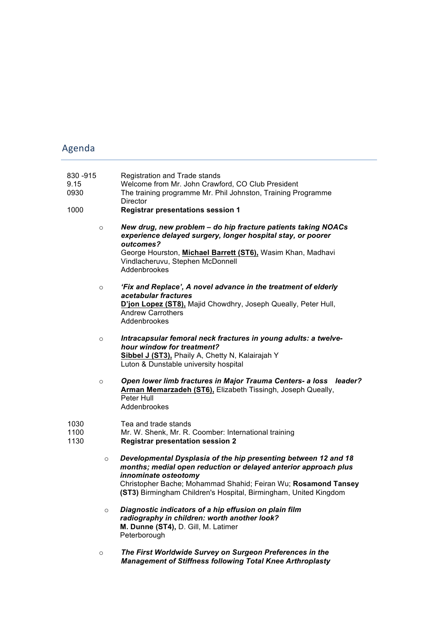## Agenda

| 830 - 915<br>9.15<br>0930<br>1000 |         | Registration and Trade stands<br>Welcome from Mr. John Crawford, CO Club President<br>The training programme Mr. Phil Johnston, Training Programme<br>Director<br><b>Registrar presentations session 1</b>                                                                                       |
|-----------------------------------|---------|--------------------------------------------------------------------------------------------------------------------------------------------------------------------------------------------------------------------------------------------------------------------------------------------------|
|                                   | $\circ$ | New drug, new problem - do hip fracture patients taking NOACs<br>experience delayed surgery, longer hospital stay, or poorer<br>outcomes?<br>George Hourston, Michael Barrett (ST6), Wasim Khan, Madhavi<br>Vindlacheruvu, Stephen McDonnell<br>Addenbrookes                                     |
|                                   | $\circ$ | 'Fix and Replace', A novel advance in the treatment of elderly<br>acetabular fractures<br>D'jon Lopez (ST8), Majid Chowdhry, Joseph Queally, Peter Hull,<br><b>Andrew Carrothers</b><br>Addenbrookes                                                                                             |
|                                   | $\circ$ | Intracapsular femoral neck fractures in young adults: a twelve-<br>hour window for treatment?<br>Sibbel J (ST3), Phaily A, Chetty N, Kalairajah Y<br>Luton & Dunstable university hospital                                                                                                       |
|                                   | $\circ$ | Open lower limb fractures in Major Trauma Centers- a loss leader?<br>Arman Memarzadeh (ST6), Elizabeth Tissingh, Joseph Queally,<br>Peter Hull<br>Addenbrookes                                                                                                                                   |
| 1030<br>1100<br>1130              |         | Tea and trade stands<br>Mr. W. Shenk, Mr. R. Coomber: International training<br><b>Registrar presentation session 2</b>                                                                                                                                                                          |
|                                   | $\circ$ | Developmental Dysplasia of the hip presenting between 12 and 18<br>months; medial open reduction or delayed anterior approach plus<br>innominate osteotomy<br>Christopher Bache; Mohammad Shahid; Feiran Wu; Rosamond Tansey<br>(ST3) Birmingham Children's Hospital, Birmingham, United Kingdom |
|                                   | $\circ$ | Diagnostic indicators of a hip effusion on plain film<br>radiography in children: worth another look?<br>M. Dunne (ST4), D. Gill, M. Latimer<br>Peterborough                                                                                                                                     |

o *The First Worldwide Survey on Surgeon Preferences in the Management of Stiffness following Total Knee Arthroplasty*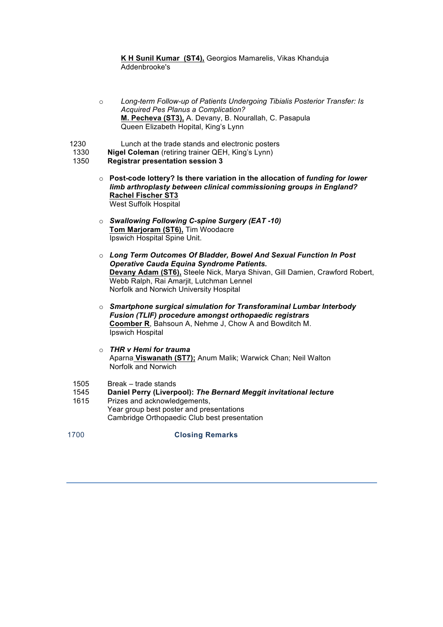**K H Sunil Kumar (ST4),** Georgios Mamarelis, Vikas Khanduja Addenbrooke's

- o *Long-term Follow-up of Patients Undergoing Tibialis Posterior Transfer: Is Acquired Pes Planus a Complication?* **M. Pecheva (ST3),** A. Devany, B. Nourallah, C. Pasapula Queen Elizabeth Hopital, King's Lynn
- 1230 Lunch at the trade stands and electronic posters
- 1330 **Nigel Coleman** (retiring trainer QEH, King's Lynn)
- 1350 **Registrar presentation session 3**
	- o **Post-code lottery? Is there variation in the allocation of** *funding for lower limb arthroplasty between clinical commissioning groups in England?* **Rachel Fischer ST3**  West Suffolk Hospital
	- o *Swallowing Following C-spine Surgery (EAT -10)* **Tom Marjoram (ST6),** Tim Woodacre Ipswich Hospital Spine Unit.
	- o *Long Term Outcomes Of Bladder, Bowel And Sexual Function In Post Operative Cauda Equina Syndrome Patients.* **Devany Adam (ST6),** Steele Nick, Marya Shivan, Gill Damien, Crawford Robert, Webb Ralph, Rai Amarjit, Lutchman Lennel Norfolk and Norwich University Hospital
	- o *Smartphone surgical simulation for Transforaminal Lumbar Interbody Fusion (TLIF) procedure amongst orthopaedic registrars* **Coomber R**, Bahsoun A, Nehme J, Chow A and Bowditch M. Ipswich Hospital
	- o *THR v Hemi for trauma* Aparna **Viswanath (ST7);** Anum Malik; Warwick Chan; Neil Walton Norfolk and Norwich
- 1505 Break trade stands
- 1545 **Daniel Perry (Liverpool):** *The Bernard Meggit invitational lecture*
- 1615 Prizes and acknowledgements, Year group best poster and presentations Cambridge Orthopaedic Club best presentation
- 1700 **Closing Remarks**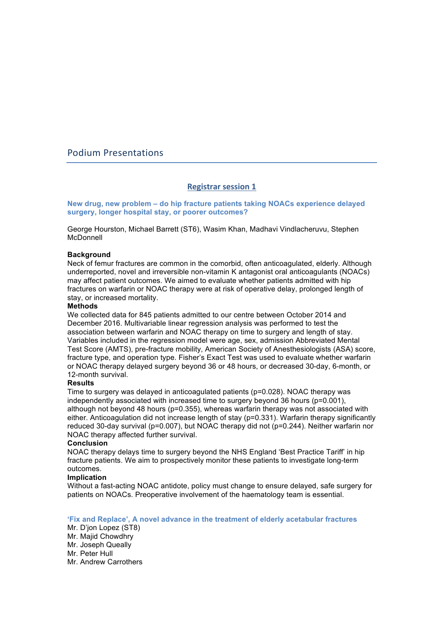### Podium Presentations

#### **Registrar session 1**

**New drug, new problem – do hip fracture patients taking NOACs experience delayed surgery, longer hospital stay, or poorer outcomes?**

George Hourston, Michael Barrett (ST6), Wasim Khan, Madhavi Vindlacheruvu, Stephen McDonnell

#### **Background**

Neck of femur fractures are common in the comorbid, often anticoagulated, elderly. Although underreported, novel and irreversible non-vitamin K antagonist oral anticoagulants (NOACs) may affect patient outcomes. We aimed to evaluate whether patients admitted with hip fractures on warfarin or NOAC therapy were at risk of operative delay, prolonged length of stay, or increased mortality.

#### **Methods**

We collected data for 845 patients admitted to our centre between October 2014 and December 2016. Multivariable linear regression analysis was performed to test the association between warfarin and NOAC therapy on time to surgery and length of stay. Variables included in the regression model were age, sex, admission Abbreviated Mental Test Score (AMTS), pre-fracture mobility, American Society of Anesthesiologists (ASA) score, fracture type, and operation type. Fisher's Exact Test was used to evaluate whether warfarin or NOAC therapy delayed surgery beyond 36 or 48 hours, or decreased 30-day, 6-month, or 12-month survival.

#### **Results**

Time to surgery was delayed in anticoagulated patients (p=0.028). NOAC therapy was independently associated with increased time to surgery beyond 36 hours (p=0.001), although not beyond 48 hours (p=0.355), whereas warfarin therapy was not associated with either. Anticoagulation did not increase length of stay (p=0.331). Warfarin therapy significantly reduced 30-day survival (p=0.007), but NOAC therapy did not (p=0.244). Neither warfarin nor NOAC therapy affected further survival.

#### **Conclusion**

NOAC therapy delays time to surgery beyond the NHS England 'Best Practice Tariff' in hip fracture patients. We aim to prospectively monitor these patients to investigate long-term outcomes.

#### **Implication**

Without a fast-acting NOAC antidote, policy must change to ensure delayed, safe surgery for patients on NOACs. Preoperative involvement of the haematology team is essential.

**'Fix and Replace', A novel advance in the treatment of elderly acetabular fractures**

Mr. D'jon Lopez (ST8) Mr. Maiid Chowdhry Mr. Joseph Queally Mr. Peter Hull Mr. Andrew Carrothers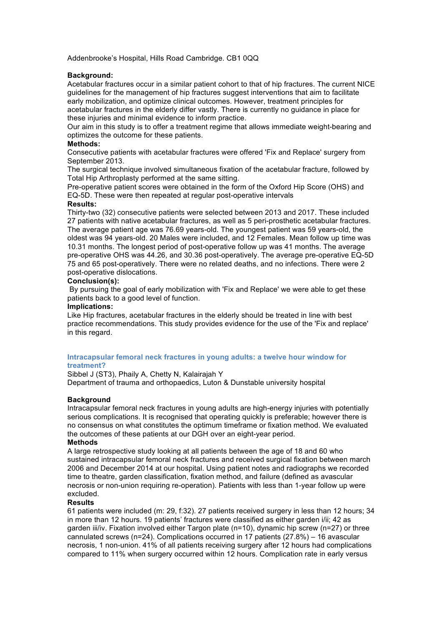Addenbrooke's Hospital, Hills Road Cambridge. CB1 0QQ

#### **Background:**

Acetabular fractures occur in a similar patient cohort to that of hip fractures. The current NICE guidelines for the management of hip fractures suggest interventions that aim to facilitate early mobilization, and optimize clinical outcomes. However, treatment principles for acetabular fractures in the elderly differ vastly. There is currently no guidance in place for these injuries and minimal evidence to inform practice.

Our aim in this study is to offer a treatment regime that allows immediate weight-bearing and optimizes the outcome for these patients.

#### **Methods:**

Consecutive patients with acetabular fractures were offered 'Fix and Replace' surgery from September 2013.

The surgical technique involved simultaneous fixation of the acetabular fracture, followed by Total Hip Arthroplasty performed at the same sitting.

Pre-operative patient scores were obtained in the form of the Oxford Hip Score (OHS) and EQ-5D. These were then repeated at regular post-operative intervals

#### **Results:**

Thirty-two (32) consecutive patients were selected between 2013 and 2017. These included 27 patients with native acetabular fractures, as well as 5 peri-prosthetic acetabular fractures. The average patient age was 76.69 years-old. The youngest patient was 59 years-old, the oldest was 94 years-old. 20 Males were included, and 12 Females. Mean follow up time was 10.31 months. The longest period of post-operative follow up was 41 months. The average pre-operative OHS was 44.26, and 30.36 post-operatively. The average pre-operative EQ-5D 75 and 65 post-operatively. There were no related deaths, and no infections. There were 2 post-operative dislocations.

#### **Conclusion(s):**

By pursuing the goal of early mobilization with 'Fix and Replace' we were able to get these patients back to a good level of function.

#### **Implications:**

Like Hip fractures, acetabular fractures in the elderly should be treated in line with best practice recommendations. This study provides evidence for the use of the 'Fix and replace' in this regard.

#### **Intracapsular femoral neck fractures in young adults: a twelve hour window for treatment?**

Sibbel J (ST3), Phaily A, Chetty N, Kalairajah Y

Department of trauma and orthopaedics, Luton & Dunstable university hospital

#### **Background**

Intracapsular femoral neck fractures in young adults are high-energy injuries with potentially serious complications. It is recognised that operating quickly is preferable; however there is no consensus on what constitutes the optimum timeframe or fixation method. We evaluated the outcomes of these patients at our DGH over an eight-year period.

#### **Methods**

A large retrospective study looking at all patients between the age of 18 and 60 who sustained intracapsular femoral neck fractures and received surgical fixation between march 2006 and December 2014 at our hospital. Using patient notes and radiographs we recorded time to theatre, garden classification, fixation method, and failure (defined as avascular necrosis or non-union requiring re-operation). Patients with less than 1-year follow up were excluded.

#### **Results**

61 patients were included (m: 29, f:32). 27 patients received surgery in less than 12 hours; 34 in more than 12 hours. 19 patients' fractures were classified as either garden i/ii; 42 as garden iii/iv. Fixation involved either Targon plate (n=10), dynamic hip screw (n=27) or three cannulated screws (n=24). Complications occurred in 17 patients (27.8%) – 16 avascular necrosis, 1 non-union. 41% of all patients receiving surgery after 12 hours had complications compared to 11% when surgery occurred within 12 hours. Complication rate in early versus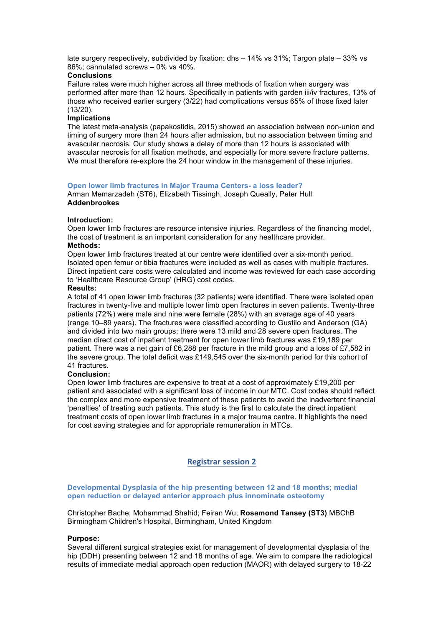late surgery respectively, subdivided by fixation: dhs – 14% vs 31%; Targon plate – 33% vs 86%; cannulated screws – 0% vs 40%.

#### **Conclusions**

Failure rates were much higher across all three methods of fixation when surgery was performed after more than 12 hours. Specifically in patients with garden iii/iv fractures, 13% of those who received earlier surgery (3/22) had complications versus 65% of those fixed later (13/20).

#### **Implications**

The latest meta-analysis (papakostidis, 2015) showed an association between non-union and timing of surgery more than 24 hours after admission, but no association between timing and avascular necrosis. Our study shows a delay of more than 12 hours is associated with avascular necrosis for all fixation methods, and especially for more severe fracture patterns. We must therefore re-explore the 24 hour window in the management of these injuries.

#### **Open lower limb fractures in Major Trauma Centers- a loss leader?**

Arman Memarzadeh (ST6), Elizabeth Tissingh, Joseph Queally, Peter Hull **Addenbrookes**

#### **Introduction:**

Open lower limb fractures are resource intensive injuries. Regardless of the financing model, the cost of treatment is an important consideration for any healthcare provider. **Methods:** 

Open lower limb fractures treated at our centre were identified over a six-month period. Isolated open femur or tibia fractures were included as well as cases with multiple fractures. Direct inpatient care costs were calculated and income was reviewed for each case according to 'Healthcare Resource Group' (HRG) cost codes.

#### **Results:**

A total of 41 open lower limb fractures (32 patients) were identified. There were isolated open fractures in twenty-five and multiple lower limb open fractures in seven patients. Twenty-three patients (72%) were male and nine were female (28%) with an average age of 40 years (range 10–89 years). The fractures were classified according to Gustilo and Anderson (GA) and divided into two main groups; there were 13 mild and 28 severe open fractures. The median direct cost of inpatient treatment for open lower limb fractures was £19,189 per patient. There was a net gain of £6,288 per fracture in the mild group and a loss of £7,582 in the severe group. The total deficit was £149,545 over the six-month period for this cohort of 41 fractures.

#### **Conclusion:**

Open lower limb fractures are expensive to treat at a cost of approximately £19,200 per patient and associated with a significant loss of income in our MTC. Cost codes should reflect the complex and more expensive treatment of these patients to avoid the inadvertent financial 'penalties' of treating such patients. This study is the first to calculate the direct inpatient treatment costs of open lower limb fractures in a major trauma centre. It highlights the need for cost saving strategies and for appropriate remuneration in MTCs.

#### **Registrar session 2**

#### **Developmental Dysplasia of the hip presenting between 12 and 18 months; medial open reduction or delayed anterior approach plus innominate osteotomy**

Christopher Bache; Mohammad Shahid; Feiran Wu; **Rosamond Tansey (ST3)** MBChB Birmingham Children's Hospital, Birmingham, United Kingdom

#### **Purpose:**

Several different surgical strategies exist for management of developmental dysplasia of the hip (DDH) presenting between 12 and 18 months of age. We aim to compare the radiological results of immediate medial approach open reduction (MAOR) with delayed surgery to 18-22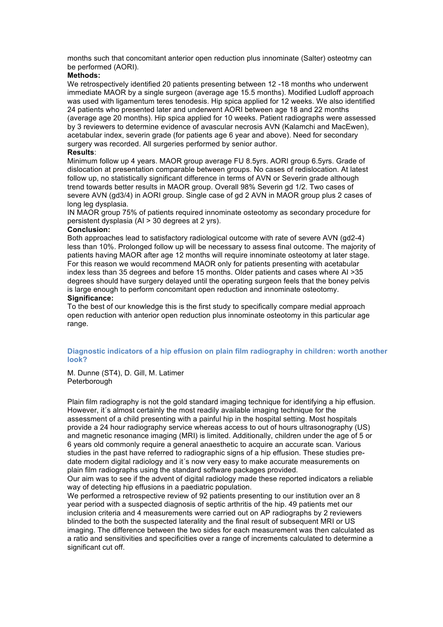months such that concomitant anterior open reduction plus innominate (Salter) osteotmy can be performed (AORI).

#### **Methods:**

We retrospectively identified 20 patients presenting between 12 -18 months who underwent immediate MAOR by a single surgeon (average age 15.5 months). Modified Ludloff approach was used with ligamentum teres tenodesis. Hip spica applied for 12 weeks. We also identified 24 patients who presented later and underwent AORI between age 18 and 22 months (average age 20 months). Hip spica applied for 10 weeks. Patient radiographs were assessed by 3 reviewers to determine evidence of avascular necrosis AVN (Kalamchi and MacEwen), acetabular index, severin grade (for patients age 6 year and above). Need for secondary surgery was recorded. All surgeries performed by senior author.

#### **Results**:

Minimum follow up 4 years. MAOR group average FU 8.5yrs. AORI group 6.5yrs. Grade of dislocation at presentation comparable between groups. No cases of redislocation. At latest follow up, no statistically significant difference in terms of AVN or Severin grade although trend towards better results in MAOR group. Overall 98% Severin gd 1/2. Two cases of severe AVN (gd3/4) in AORI group. Single case of gd 2 AVN in MAOR group plus 2 cases of long leg dysplasia.

IN MAOR group 75% of patients required innominate osteotomy as secondary procedure for persistent dysplasia (AI > 30 degrees at 2 yrs).

#### **Conclusion:**

Both approaches lead to satisfactory radiological outcome with rate of severe AVN (gd2-4) less than 10%. Prolonged follow up will be necessary to assess final outcome. The majority of patients having MAOR after age 12 months will require innominate osteotomy at later stage. For this reason we would recommend MAOR only for patients presenting with acetabular index less than 35 degrees and before 15 months. Older patients and cases where AI >35 degrees should have surgery delayed until the operating surgeon feels that the boney pelvis is large enough to perform concomitant open reduction and innominate osteotomy. **Significance:** 

To the best of our knowledge this is the first study to specifically compare medial approach open reduction with anterior open reduction plus innominate osteotomy in this particular age range.

#### **Diagnostic indicators of a hip effusion on plain film radiography in children: worth another look?**

M. Dunne (ST4), D. Gill, M. Latimer **Peterborough** 

Plain film radiography is not the gold standard imaging technique for identifying a hip effusion. However, it´s almost certainly the most readily available imaging technique for the assessment of a child presenting with a painful hip in the hospital setting. Most hospitals provide a 24 hour radiography service whereas access to out of hours ultrasonography (US) and magnetic resonance imaging (MRI) is limited. Additionally, children under the age of 5 or 6 years old commonly require a general anaesthetic to acquire an accurate scan. Various studies in the past have referred to radiographic signs of a hip effusion. These studies predate modern digital radiology and it´s now very easy to make accurate measurements on plain film radiographs using the standard software packages provided.

Our aim was to see if the advent of digital radiology made these reported indicators a reliable way of detecting hip effusions in a paediatric population.

We performed a retrospective review of 92 patients presenting to our institution over an 8 year period with a suspected diagnosis of septic arthritis of the hip. 49 patients met our inclusion criteria and 4 measurements were carried out on AP radiographs by 2 reviewers blinded to the both the suspected laterality and the final result of subsequent MRI or US imaging. The difference between the two sides for each measurement was then calculated as a ratio and sensitivities and specificities over a range of increments calculated to determine a significant cut off.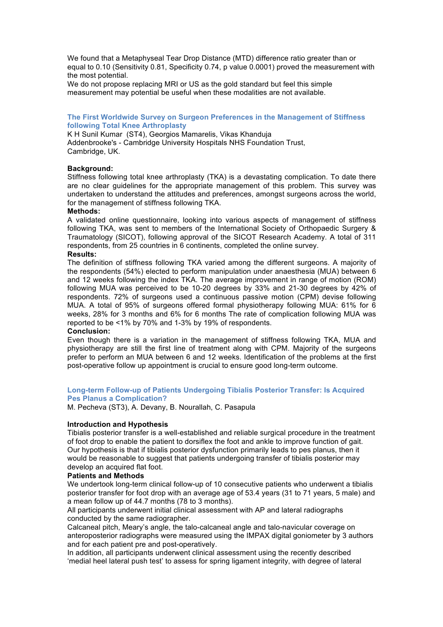We found that a Metaphyseal Tear Drop Distance (MTD) difference ratio greater than or equal to 0.10 (Sensitivity 0.81, Specificity 0.74, p value 0.0001) proved the measurement with the most potential.

We do not propose replacing MRI or US as the gold standard but feel this simple measurement may potential be useful when these modalities are not available.

#### **The First Worldwide Survey on Surgeon Preferences in the Management of Stiffness following Total Knee Arthroplasty**

K H Sunil Kumar (ST4), Georgios Mamarelis, Vikas Khanduja Addenbrooke's - Cambridge University Hospitals NHS Foundation Trust, Cambridge, UK.

#### **Background:**

Stiffness following total knee arthroplasty (TKA) is a devastating complication. To date there are no clear guidelines for the appropriate management of this problem. This survey was undertaken to understand the attitudes and preferences, amongst surgeons across the world, for the management of stiffness following TKA.

#### **Methods:**

A validated online questionnaire, looking into various aspects of management of stiffness following TKA, was sent to members of the International Society of Orthopaedic Surgery & Traumatology (SICOT), following approval of the SICOT Research Academy. A total of 311 respondents, from 25 countries in 6 continents, completed the online survey.

#### **Results:**

The definition of stiffness following TKA varied among the different surgeons. A majority of the respondents (54%) elected to perform manipulation under anaesthesia (MUA) between 6 and 12 weeks following the index TKA. The average improvement in range of motion (ROM) following MUA was perceived to be 10-20 degrees by 33% and 21-30 degrees by 42% of respondents. 72% of surgeons used a continuous passive motion (CPM) devise following MUA. A total of 95% of surgeons offered formal physiotherapy following MUA: 61% for 6 weeks, 28% for 3 months and 6% for 6 months The rate of complication following MUA was reported to be <1% by 70% and 1-3% by 19% of respondents.

#### **Conclusion:**

Even though there is a variation in the management of stiffness following TKA, MUA and physiotherapy are still the first line of treatment along with CPM. Majority of the surgeons prefer to perform an MUA between 6 and 12 weeks. Identification of the problems at the first post-operative follow up appointment is crucial to ensure good long-term outcome.

#### **Long-term Follow-up of Patients Undergoing Tibialis Posterior Transfer: Is Acquired Pes Planus a Complication?**

M. Pecheva (ST3), A. Devany, B. Nourallah, C. Pasapula

#### **Introduction and Hypothesis**

Tibialis posterior transfer is a well-established and reliable surgical procedure in the treatment of foot drop to enable the patient to dorsiflex the foot and ankle to improve function of gait. Our hypothesis is that if tibialis posterior dysfunction primarily leads to pes planus, then it would be reasonable to suggest that patients undergoing transfer of tibialis posterior may develop an acquired flat foot.

#### **Patients and Methods**

We undertook long-term clinical follow-up of 10 consecutive patients who underwent a tibialis posterior transfer for foot drop with an average age of 53.4 years (31 to 71 years, 5 male) and a mean follow up of 44.7 months (78 to 3 months).

All participants underwent initial clinical assessment with AP and lateral radiographs conducted by the same radiographer.

Calcaneal pitch, Meary's angle, the talo-calcaneal angle and talo-navicular coverage on anteroposterior radiographs were measured using the IMPAX digital goniometer by 3 authors and for each patient pre and post-operatively.

In addition, all participants underwent clinical assessment using the recently described 'medial heel lateral push test' to assess for spring ligament integrity, with degree of lateral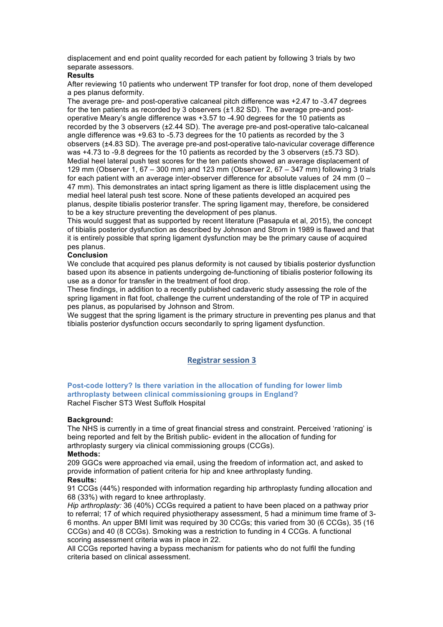displacement and end point quality recorded for each patient by following 3 trials by two separate assessors.

#### **Results**

After reviewing 10 patients who underwent TP transfer for foot drop, none of them developed a pes planus deformity.

The average pre- and post-operative calcaneal pitch difference was +2.47 to -3.47 degrees for the ten patients as recorded by 3 observers (±1.82 SD). The average pre-and postoperative Meary's angle difference was +3.57 to -4.90 degrees for the 10 patients as recorded by the 3 observers (±2.44 SD). The average pre-and post-operative talo-calcaneal angle difference was +9.63 to -5.73 degrees for the 10 patients as recorded by the 3 observers (±4.83 SD). The average pre-and post-operative talo-navicular coverage difference was +4.73 to -9.8 degrees for the 10 patients as recorded by the 3 observers (±5.73 SD). Medial heel lateral push test scores for the ten patients showed an average displacement of 129 mm (Observer 1, 67 – 300 mm) and 123 mm (Observer 2, 67 – 347 mm) following 3 trials for each patient with an average inter-observer difference for absolute values of 24 mm (0 – 47 mm). This demonstrates an intact spring ligament as there is little displacement using the medial heel lateral push test score. None of these patients developed an acquired pes planus, despite tibialis posterior transfer. The spring ligament may, therefore, be considered to be a key structure preventing the development of pes planus.

This would suggest that as supported by recent literature (Pasapula et al, 2015), the concept of tibialis posterior dysfunction as described by Johnson and Strom in 1989 is flawed and that it is entirely possible that spring ligament dysfunction may be the primary cause of acquired pes planus.

#### **Conclusion**

We conclude that acquired pes planus deformity is not caused by tibialis posterior dysfunction based upon its absence in patients undergoing de-functioning of tibialis posterior following its use as a donor for transfer in the treatment of foot drop.

These findings, in addition to a recently published cadaveric study assessing the role of the spring ligament in flat foot, challenge the current understanding of the role of TP in acquired pes planus, as popularised by Johnson and Strom.

We suggest that the spring ligament is the primary structure in preventing pes planus and that tibialis posterior dysfunction occurs secondarily to spring ligament dysfunction.

#### **Registrar session 3**

#### **Post-code lottery? Is there variation in the allocation of funding for lower limb arthroplasty between clinical commissioning groups in England?** Rachel Fischer ST3 West Suffolk Hospital

#### **Background:**

The NHS is currently in a time of great financial stress and constraint. Perceived 'rationing' is being reported and felt by the British public- evident in the allocation of funding for arthroplasty surgery via clinical commissioning groups (CCGs).

#### **Methods:**

209 GGCs were approached via email, using the freedom of information act, and asked to provide information of patient criteria for hip and knee arthroplasty funding.

#### **Results:**

91 CCGs (44%) responded with information regarding hip arthroplasty funding allocation and 68 (33%) with regard to knee arthroplasty.

*Hip arthroplasty:* 36 (40%) CCGs required a patient to have been placed on a pathway prior to referral; 17 of which required physiotherapy assessment, 5 had a minimum time frame of 3- 6 months. An upper BMI limit was required by 30 CCGs; this varied from 30 (6 CCGs), 35 (16 CCGs) and 40 (8 CCGs). Smoking was a restriction to funding in 4 CCGs. A functional scoring assessment criteria was in place in 22.

All CCGs reported having a bypass mechanism for patients who do not fulfil the funding criteria based on clinical assessment.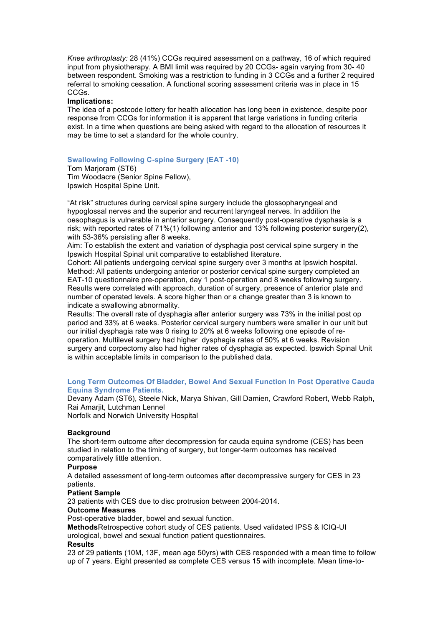*Knee arthroplasty:* 28 (41%) CCGs required assessment on a pathway, 16 of which required input from physiotherapy. A BMI limit was required by 20 CCGs- again varying from 30- 40 between respondent. Smoking was a restriction to funding in 3 CCGs and a further 2 required referral to smoking cessation. A functional scoring assessment criteria was in place in 15 CCGs.

#### **Implications:**

The idea of a postcode lottery for health allocation has long been in existence, despite poor response from CCGs for information it is apparent that large variations in funding criteria exist. In a time when questions are being asked with regard to the allocation of resources it may be time to set a standard for the whole country.

#### **Swallowing Following C-spine Surgery (EAT -10)**

Tom Marjoram (ST6) Tim Woodacre (Senior Spine Fellow), Ipswich Hospital Spine Unit.

"At risk" structures during cervical spine surgery include the glossopharyngeal and hypoglossal nerves and the superior and recurrent laryngeal nerves. In addition the oesophagus is vulnerable in anterior surgery. Consequently post-operative dysphasia is a risk; with reported rates of 71%(1) following anterior and 13% following posterior surgery(2), with 53-36% persisting after 8 weeks.

Aim: To establish the extent and variation of dysphagia post cervical spine surgery in the Ipswich Hospital Spinal unit comparative to established literature.

Cohort: All patients undergoing cervical spine surgery over 3 months at Ipswich hospital. Method: All patients undergoing anterior or posterior cervical spine surgery completed an EAT-10 questionnaire pre-operation, day 1 post-operation and 8 weeks following surgery. Results were correlated with approach, duration of surgery, presence of anterior plate and number of operated levels. A score higher than or a change greater than 3 is known to indicate a swallowing abnormality.

Results: The overall rate of dysphagia after anterior surgery was 73% in the initial post op period and 33% at 6 weeks. Posterior cervical surgery numbers were smaller in our unit but our initial dysphagia rate was 0 rising to 20% at 6 weeks following one episode of reoperation. Multilevel surgery had higher dysphagia rates of 50% at 6 weeks. Revision surgery and corpectomy also had higher rates of dysphagia as expected. Ipswich Spinal Unit is within acceptable limits in comparison to the published data.

#### **Long Term Outcomes Of Bladder, Bowel And Sexual Function In Post Operative Cauda Equina Syndrome Patients.**

Devany Adam (ST6), Steele Nick, Marya Shivan, Gill Damien, Crawford Robert, Webb Ralph, Rai Amarjit, Lutchman Lennel

Norfolk and Norwich University Hospital

#### **Background**

The short-term outcome after decompression for cauda equina syndrome (CES) has been studied in relation to the timing of surgery, but longer-term outcomes has received comparatively little attention.

#### **Purpose**

A detailed assessment of long-term outcomes after decompressive surgery for CES in 23 patients.

#### **Patient Sample**

23 patients with CES due to disc protrusion between 2004-2014.

#### **Outcome Measures**

Post-operative bladder, bowel and sexual function.

**Methods**Retrospective cohort study of CES patients. Used validated IPSS & ICIQ-UI urological, bowel and sexual function patient questionnaires.

#### **Results**

23 of 29 patients (10M, 13F, mean age 50yrs) with CES responded with a mean time to follow up of 7 years. Eight presented as complete CES versus 15 with incomplete. Mean time-to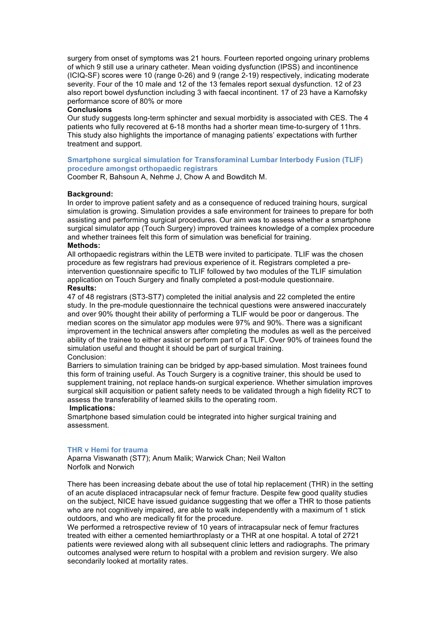surgery from onset of symptoms was 21 hours. Fourteen reported ongoing urinary problems of which 9 still use a urinary catheter. Mean voiding dysfunction (IPSS) and incontinence (ICIQ-SF) scores were 10 (range 0-26) and 9 (range 2-19) respectively, indicating moderate severity. Four of the 10 male and 12 of the 13 females report sexual dysfunction. 12 of 23 also report bowel dysfunction including 3 with faecal incontinent. 17 of 23 have a Karnofsky performance score of 80% or more

#### **Conclusions**

Our study suggests long-term sphincter and sexual morbidity is associated with CES. The 4 patients who fully recovered at 6-18 months had a shorter mean time-to-surgery of 11hrs. This study also highlights the importance of managing patients' expectations with further treatment and support.

#### **Smartphone surgical simulation for Transforaminal Lumbar Interbody Fusion (TLIF) procedure amongst orthopaedic registrars**

Coomber R, Bahsoun A, Nehme J, Chow A and Bowditch M.

#### **Background:**

In order to improve patient safety and as a consequence of reduced training hours, surgical simulation is growing. Simulation provides a safe environment for trainees to prepare for both assisting and performing surgical procedures. Our aim was to assess whether a smartphone surgical simulator app (Touch Surgery) improved trainees knowledge of a complex procedure and whether trainees felt this form of simulation was beneficial for training.

#### **Methods:**

All orthopaedic registrars within the LETB were invited to participate. TLIF was the chosen procedure as few registrars had previous experience of it. Registrars completed a preintervention questionnaire specific to TLIF followed by two modules of the TLIF simulation application on Touch Surgery and finally completed a post-module questionnaire. **Results:**

47 of 48 registrars (ST3-ST7) completed the initial analysis and 22 completed the entire study. In the pre-module questionnaire the technical questions were answered inaccurately and over 90% thought their ability of performing a TLIF would be poor or dangerous. The median scores on the simulator app modules were 97% and 90%. There was a significant improvement in the technical answers after completing the modules as well as the perceived ability of the trainee to either assist or perform part of a TLIF. Over 90% of trainees found the simulation useful and thought it should be part of surgical training.

#### Conclusion:

Barriers to simulation training can be bridged by app-based simulation. Most trainees found this form of training useful. As Touch Surgery is a cognitive trainer, this should be used to supplement training, not replace hands-on surgical experience. Whether simulation improves surgical skill acquisition or patient safety needs to be validated through a high fidelity RCT to assess the transferability of learned skills to the operating room.

#### **Implications:**

Smartphone based simulation could be integrated into higher surgical training and assessment.

#### **THR v Hemi for trauma**

Aparna Viswanath (ST7); Anum Malik; Warwick Chan; Neil Walton Norfolk and Norwich

There has been increasing debate about the use of total hip replacement (THR) in the setting of an acute displaced intracapsular neck of femur fracture. Despite few good quality studies on the subject, NICE have issued guidance suggesting that we offer a THR to those patients who are not cognitively impaired, are able to walk independently with a maximum of 1 stick outdoors, and who are medically fit for the procedure.

We performed a retrospective review of 10 years of intracapsular neck of femur fractures treated with either a cemented hemiarthroplasty or a THR at one hospital. A total of 2721 patients were reviewed along with all subsequent clinic letters and radiographs. The primary outcomes analysed were return to hospital with a problem and revision surgery. We also secondarily looked at mortality rates.